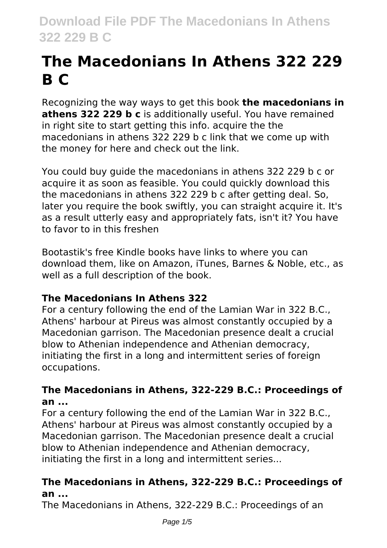# **The Macedonians In Athens 322 229 B C**

Recognizing the way ways to get this book **the macedonians in athens 322 229 b c** is additionally useful. You have remained in right site to start getting this info. acquire the the macedonians in athens 322 229 b c link that we come up with the money for here and check out the link.

You could buy guide the macedonians in athens 322 229 b c or acquire it as soon as feasible. You could quickly download this the macedonians in athens 322 229 b c after getting deal. So, later you require the book swiftly, you can straight acquire it. It's as a result utterly easy and appropriately fats, isn't it? You have to favor to in this freshen

Bootastik's free Kindle books have links to where you can download them, like on Amazon, iTunes, Barnes & Noble, etc., as well as a full description of the book.

# **The Macedonians In Athens 322**

For a century following the end of the Lamian War in 322 B.C., Athens' harbour at Pireus was almost constantly occupied by a Macedonian garrison. The Macedonian presence dealt a crucial blow to Athenian independence and Athenian democracy, initiating the first in a long and intermittent series of foreign occupations.

# **The Macedonians in Athens, 322-229 B.C.: Proceedings of an ...**

For a century following the end of the Lamian War in 322 B.C., Athens' harbour at Pireus was almost constantly occupied by a Macedonian garrison. The Macedonian presence dealt a crucial blow to Athenian independence and Athenian democracy, initiating the first in a long and intermittent series...

# **The Macedonians in Athens, 322-229 B.C.: Proceedings of an ...**

The Macedonians in Athens, 322-229 B.C.: Proceedings of an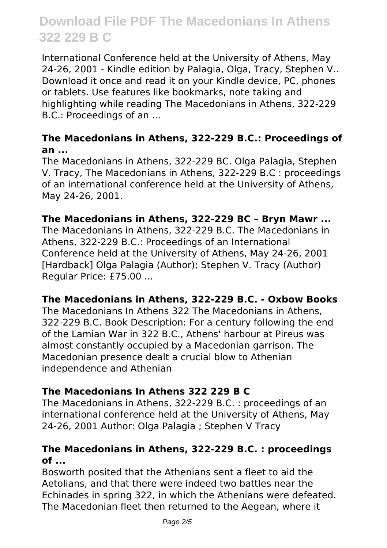International Conference held at the University of Athens, May 24-26, 2001 - Kindle edition by Palagia, Olga, Tracy, Stephen V.. Download it once and read it on your Kindle device, PC, phones or tablets. Use features like bookmarks, note taking and highlighting while reading The Macedonians in Athens, 322-229 B.C.: Proceedings of an ...

#### **The Macedonians in Athens, 322-229 B.C.: Proceedings of an ...**

The Macedonians in Athens, 322-229 BC. Olga Palagia, Stephen V. Tracy, The Macedonians in Athens, 322-229 B.C : proceedings of an international conference held at the University of Athens, May 24-26, 2001.

#### **The Macedonians in Athens, 322-229 BC – Bryn Mawr ...**

The Macedonians in Athens, 322-229 B.C. The Macedonians in Athens, 322-229 B.C.: Proceedings of an International Conference held at the University of Athens, May 24-26, 2001 [Hardback] Olga Palagia (Author); Stephen V. Tracy (Author) Regular Price: £75.00 ...

#### **The Macedonians in Athens, 322-229 B.C. - Oxbow Books**

The Macedonians In Athens 322 The Macedonians in Athens, 322-229 B.C. Book Description: For a century following the end of the Lamian War in 322 B.C., Athens' harbour at Pireus was almost constantly occupied by a Macedonian garrison. The Macedonian presence dealt a crucial blow to Athenian independence and Athenian

# **The Macedonians In Athens 322 229 B C**

The Macedonians in Athens, 322-229 B.C. : proceedings of an international conference held at the University of Athens, May 24-26, 2001 Author: Olga Palagia ; Stephen V Tracy

#### **The Macedonians in Athens, 322-229 B.C. : proceedings of ...**

Bosworth posited that the Athenians sent a fleet to aid the Aetolians, and that there were indeed two battles near the Echinades in spring 322, in which the Athenians were defeated. The Macedonian fleet then returned to the Aegean, where it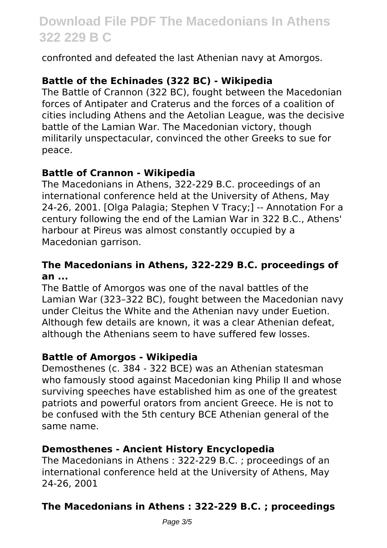confronted and defeated the last Athenian navy at Amorgos.

### **Battle of the Echinades (322 BC) - Wikipedia**

The Battle of Crannon (322 BC), fought between the Macedonian forces of Antipater and Craterus and the forces of a coalition of cities including Athens and the Aetolian League, was the decisive battle of the Lamian War. The Macedonian victory, though militarily unspectacular, convinced the other Greeks to sue for peace.

#### **Battle of Crannon - Wikipedia**

The Macedonians in Athens, 322-229 B.C. proceedings of an international conference held at the University of Athens, May 24-26, 2001. [Olga Palagia; Stephen V Tracy;] -- Annotation For a century following the end of the Lamian War in 322 B.C., Athens' harbour at Pireus was almost constantly occupied by a Macedonian garrison.

#### **The Macedonians in Athens, 322-229 B.C. proceedings of an ...**

The Battle of Amorgos was one of the naval battles of the Lamian War (323–322 BC), fought between the Macedonian navy under Cleitus the White and the Athenian navy under Euetion. Although few details are known, it was a clear Athenian defeat, although the Athenians seem to have suffered few losses.

#### **Battle of Amorgos - Wikipedia**

Demosthenes (c. 384 - 322 BCE) was an Athenian statesman who famously stood against Macedonian king Philip II and whose surviving speeches have established him as one of the greatest patriots and powerful orators from ancient Greece. He is not to be confused with the 5th century BCE Athenian general of the same name.

#### **Demosthenes - Ancient History Encyclopedia**

The Macedonians in Athens : 322-229 B.C. ; proceedings of an international conference held at the University of Athens, May 24-26, 2001

#### **The Macedonians in Athens : 322-229 B.C. ; proceedings**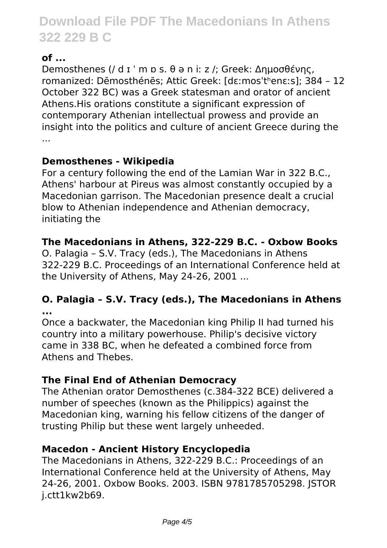# **of ...**

Demosthenes (/ d ɪ ˈ m ɒ s. θ ə n iː z /; Greek: Δημοσθένης, romanized: Dēmosthénēs; Attic Greek: [dɛːmosˈtʰenɛːs]; 384 – 12 October 322 BC) was a Greek statesman and orator of ancient Athens.His orations constitute a significant expression of contemporary Athenian intellectual prowess and provide an insight into the politics and culture of ancient Greece during the ...

#### **Demosthenes - Wikipedia**

For a century following the end of the Lamian War in 322 B.C., Athens' harbour at Pireus was almost constantly occupied by a Macedonian garrison. The Macedonian presence dealt a crucial blow to Athenian independence and Athenian democracy, initiating the

#### **The Macedonians in Athens, 322-229 B.C. - Oxbow Books**

O. Palagia – S.V. Tracy (eds.), The Macedonians in Athens 322-229 B.C. Proceedings of an International Conference held at the University of Athens, May 24-26, 2001 ...

#### **O. Palagia – S.V. Tracy (eds.), The Macedonians in Athens ...**

Once a backwater, the Macedonian king Philip II had turned his country into a military powerhouse. Philip's decisive victory came in 338 BC, when he defeated a combined force from Athens and Thebes.

# **The Final End of Athenian Democracy**

The Athenian orator Demosthenes (c.384-322 BCE) delivered a number of speeches (known as the Philippics) against the Macedonian king, warning his fellow citizens of the danger of trusting Philip but these went largely unheeded.

# **Macedon - Ancient History Encyclopedia**

The Macedonians in Athens, 322-229 B.C.: Proceedings of an International Conference held at the University of Athens, May 24-26, 2001. Oxbow Books. 2003. ISBN 9781785705298. JSTOR j.ctt1kw2b69.